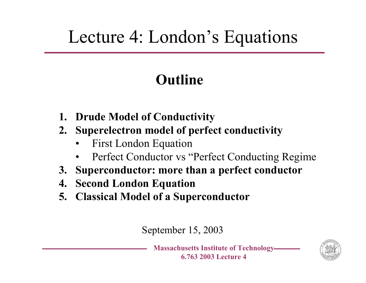#### Lecture 4: London's Equations

#### **Outline**

- **1. Drude Model of Conductivity**
- **2. Superelectron model of perfect conductivity**
	- •First London Equation
	- •Perfect Conductor vs "Perfect Conducting Regime
- **3. Superconductor: more than a perfect conductor**
- **4. Second London Equation**
- **5. Classical Model of a Superconductor**

September 15, 2003

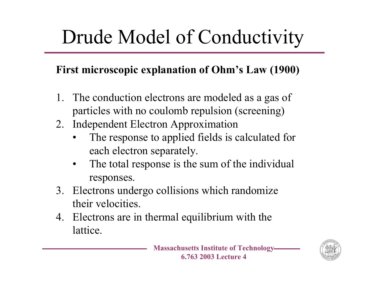# Drude Model of Conductivity

#### **First microscopic explanation of Ohm's Law (1900)**

- 1. The conduction electrons are modeled as a gas of particles with no coulomb repulsion (screening)
- 2. Independent Electron Approximation
	- •The response to applied fields is calculated for each electron separately.
	- •The total response is the sum of the individual responses.
- 3. Electrons undergo collisions which randomize their velocities.
- 4. Electrons are in thermal equilibrium with the lattice.



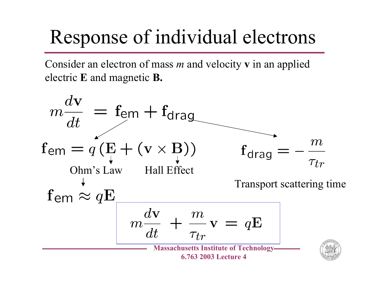## Response of individual electrons

Consider an electron of mass *m* and velocity **v** in an applied electric **E** and magnetic **B.**

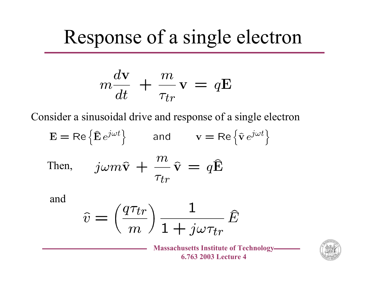#### Response of a single electron

$$
m\frac{d\mathbf{v}}{dt} + \frac{m}{\tau_{tr}}\mathbf{v} = q\mathbf{E}
$$

Consider a sinusoidal drive and response of a single electron

 $E = \text{Re} \left\{ \hat{E} e^{j\omega t} \right\}$  and  $v = \text{Re} \left\{ \hat{v} e^{j\omega t} \right\}$  $j\omega m\hat{\mathbf{v}} + \frac{m}{\tau_{tr}}\hat{\mathbf{v}} = q\hat{\mathbf{E}}$ Then,

and

$$
\hat{v} = \left(\frac{q\tau_{tr}}{m}\right) \frac{1}{1 + j\omega\tau_{tr}} \hat{E}
$$

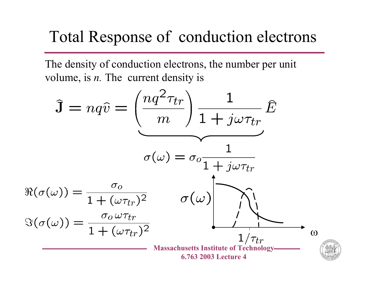#### Total Response of conduction electrons

The density of conduction electrons, the number per unit volume, is *n.* The current density is

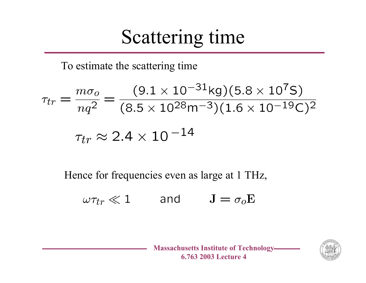#### Scattering time

To estimate the scattering time

$$
\tau_{tr} = \frac{m\sigma_o}{nq^2} = \frac{(9.1 \times 10^{-31} \text{kg})(5.8 \times 10^7 \text{S})}{(8.5 \times 10^{28} \text{m}^{-3})(1.6 \times 10^{-19} \text{C})^2}
$$

$$
\tau_{tr} \approx 2.4 \times 10^{-14}
$$

Hence for frequencies even as large at 1 THz,

$$
\omega \tau_{tr} \ll 1 \qquad \text{and} \qquad J = \sigma_o E
$$



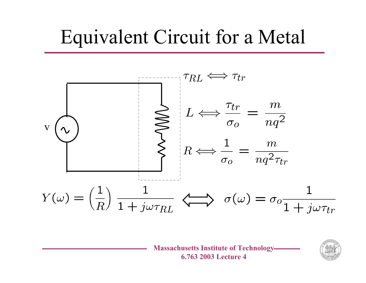#### Equivalent Circuit for a Metal



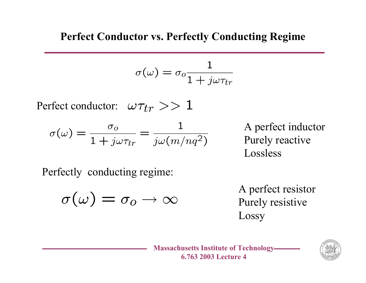#### **Perfect Conductor vs. Perfectly Conducting Regime**

$$
\sigma(\omega) = \sigma_o \frac{1}{1 + j\omega\tau_{tr}}
$$

Perfect conductor:  $\omega \tau_{tr} >> 1$ 

$$
\sigma(\omega) = \frac{\sigma_o}{1 + j\omega\tau_{tr}} = \frac{1}{j\omega(m/nq^2)}
$$

A perfect inductor Purely reactive Lossless

Perfectly conducting regime:

$$
\sigma(\omega)=\sigma_o\to\infty
$$

A perfect resistor Purely resistive Lossy

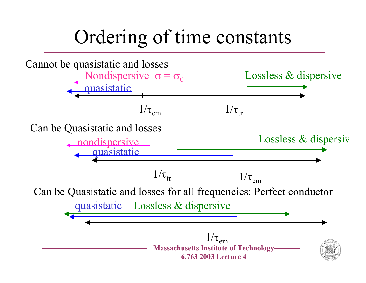### Ordering of time constants

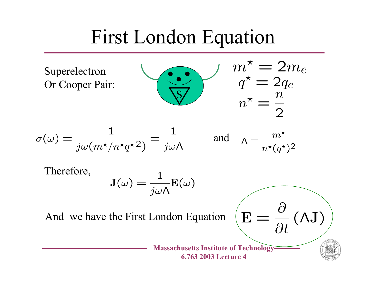#### First London Equation

Superelectron Or Cooper Pair:



 $m_{\star}^{\star} = 2m_e$ <br> $q^{\star} = 2q_e$ 

$$
\sigma(\omega) = \frac{1}{j\omega(m^{\star}/n^{\star}q^{\star}^2)} = \frac{1}{j\omega\Lambda} \quad \text{and} \quad \Lambda \equiv \frac{m^{\star}}{n^{\star}(q^{\star})^2}
$$

Therefore,

$$
\mathrm{J}(\omega)=\frac{1}{j\omega\Lambda}\mathrm{E}(\omega)
$$

And we have the First London Equation

**Massachusetts Institute of Technology 6.763 2003 Lecture 4**

E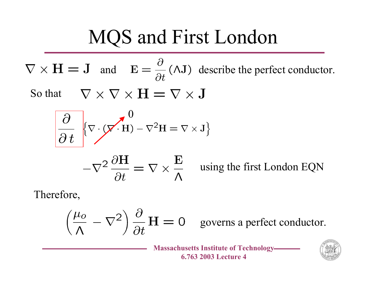## MQS and First London

$$
\nabla \times \mathbf{H} = \mathbf{J}
$$
 and  $\mathbf{E} = \frac{\partial}{\partial t} (\Lambda \mathbf{J})$  describe the perfect conductor.  
So that  $\nabla \times \nabla \times \mathbf{H} = \nabla \times \mathbf{J}$ 

$$
\frac{\partial}{\partial t} \left\{ \nabla \cdot (\nabla \cdot \mathbf{H}) - \nabla^2 \mathbf{H} = \nabla \times \mathbf{J} \right\}
$$

$$
-\nabla^2 \frac{\partial \mathbf{H}}{\partial t} = \nabla \times \frac{\mathbf{E}}{\Lambda}
$$

using the first London EQN

Therefore,

$$
\left(\frac{\mu_o}{\Lambda} - \nabla^2\right) \frac{\partial}{\partial t} \mathbf{H} = 0
$$
 governs a perfect conductor.

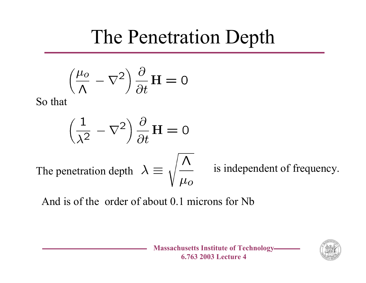### The Penetration Depth

$$
\left(\frac{\mu_o}{\Lambda} - \nabla^2\right) \frac{\partial}{\partial t} \mathbf{H} = 0
$$

So that

$$
\left(\frac{1}{\lambda^2} - \nabla^2\right) \frac{\partial}{\partial t} \mathbf{H} = 0
$$

The penetration depth  $\lambda \equiv \sqrt{\frac{\Lambda}{L_0}}$  is independent of frequency.

And is of the order of about 0.1 microns for Nb

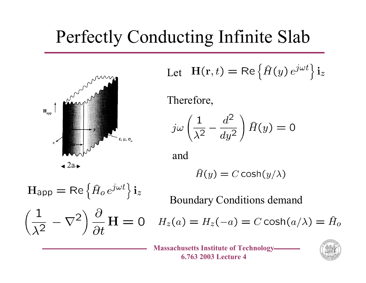#### Perfectly Conducting Infinite Slab



Let 
$$
H(r, t) = \text{Re} \{ \hat{H}(y) e^{j\omega t} \} i_z
$$

Therefore,

 $j\omega\left(\frac{1}{\lambda^2}-\frac{d^2}{dy^2}\right)\hat{H}(y)=0$ 

and

$$
\hat{H}(y) = C \cosh(y/\lambda)
$$

$$
H_{\text{app}} = \text{Re}\left\{\hat{H}_o e^{j\omega t}\right\} i_z
$$

$$
\left(\frac{1}{\lambda^2} - \nabla^2\right) \frac{\partial}{\partial t} H = 0
$$

Boundary Conditions demand

 $H_z(a) = H_z(-a) = C \cosh(a/\lambda) = \hat{H}_o$ 

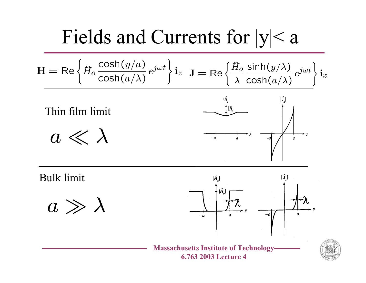#### Fields and Currents for |y|< a

$$
\mathbf{H} = \text{Re}\left\{\hat{H}_o \frac{\cosh(y/a)}{\cosh(a/\lambda)} e^{j\omega t}\right\} \mathbf{i}_z \quad \mathbf{J} = \text{Re}\left\{\frac{\hat{H}_o \sinh(y/\lambda)}{\lambda \cosh(a/\lambda)} e^{j\omega t}\right\} \mathbf{i}_x
$$



Bulk limit

$$
a \gg \lambda
$$



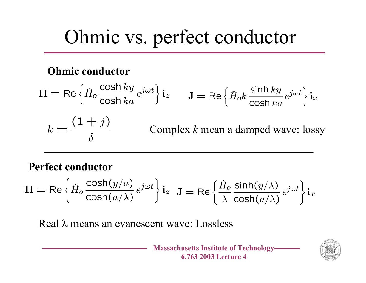### Ohmic vs. perfect conductor

#### **Ohmic conductor**

$$
H = \text{Re}\left\{\hat{H}_o \frac{\cosh ky}{\cosh ka} e^{j\omega t}\right\} i_z \qquad J = \text{Re}\left\{\hat{H}_o k \frac{\sinh ky}{\cosh ka} e^{j\omega t}\right\} i_x
$$

$$
k = \frac{(1+j)}{\delta} \qquad \text{Complex } k \text{ mean a damped wave: lossy}
$$

#### **Perfect conductor**

$$
\mathbf{H} = \mathsf{Re}\left\{\hat{H}_o \frac{\cosh(y/a)}{\cosh(a/\lambda)} e^{j\omega t}\right\} \mathbf{i}_z \quad \mathbf{J} = \mathsf{Re}\left\{\frac{\hat{H}_o}{\lambda} \frac{\sinh(y/\lambda)}{\cosh(a/\lambda)} e^{j\omega t}\right\} \mathbf{i}_x
$$

Real λ means an evanescent wave: Lossless

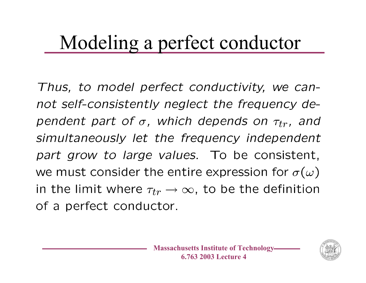### Modeling a perfect conductor

Thus, to model perfect conductivity, we cannot self-consistently neglect the frequency dependent part of  $\sigma$ , which depends on  $\tau_{tr}$ , and simultaneously let the frequency independent part grow to large values. To be consistent, we must consider the entire expression for  $\sigma(\omega)$ in the limit where  $\tau_{tr} \rightarrow \infty$ , to be the definition of a perfect conductor.

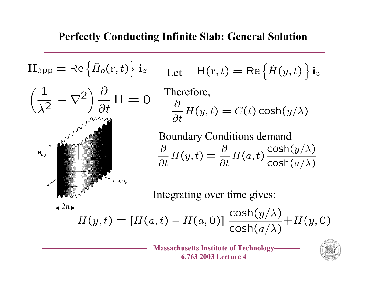



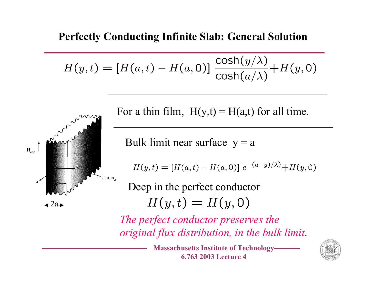#### **Perfectly Conducting Infinite Slab: General Solution**

$$
H(y,t) = [H(a,t) - H(a,0)] \frac{\cosh(y/\lambda)}{\cosh(a/\lambda)} + H(y,0)
$$



For a thin film,  $H(y,t) = H(a,t)$  for all time.

Bulk limit near surface  $y = a$ 

 $H(y,t) = [H(a,t) - H(a,0)] e^{-(a-y)/\lambda} + H(y,0)$ 

Deep in the perfect conductor  $H(y,t) = H(y,0)$ 

*The perfect conductor preserves the original flux distribution, in the bulk limit*.

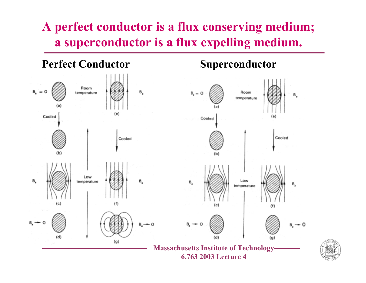#### **A perfect conductor is a flux conserving medium; a superconductor is a flux expelling medium.**

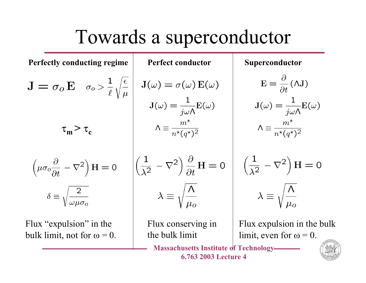#### Towards a superconductor

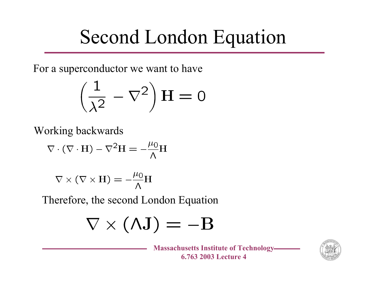## Second London Equation

For a superconductor we want to have

$$
\left(\frac{1}{\lambda^2} - \nabla^2\right)H = 0
$$

Working backwards

$$
\nabla \cdot (\nabla \cdot \mathbf{H}) - \nabla^2 \mathbf{H} = -\frac{\mu_0}{\Lambda} \mathbf{H}
$$

$$
\nabla \times (\nabla \times {\bf H}) = -\frac{\mu_0}{\Lambda} {\bf H}
$$

Therefore, the second London Equation

$$
\nabla \times (\Lambda \mathbf{J}) = -\mathbf{B}
$$